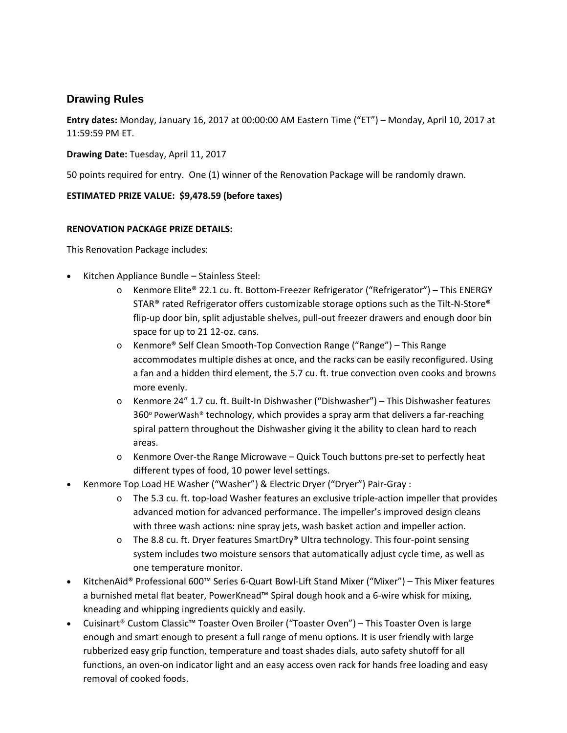## **Drawing Rules**

**Entry dates:** Monday, January 16, 2017 at 00:00:00 AM Eastern Time ("ET") – Monday, April 10, 2017 at 11:59:59 PM ET.

## **Drawing Date:** Tuesday, April 11, 2017

50 points required for entry. One (1) winner of the Renovation Package will be randomly drawn.

## **ESTIMATED PRIZE VALUE: \$9,478.59 (before taxes)**

## **RENOVATION PACKAGE PRIZE DETAILS:**

This Renovation Package includes:

- Kitchen Appliance Bundle Stainless Steel:
	- o Kenmore Elite® 22.1 cu. ft. Bottom-Freezer Refrigerator ("Refrigerator") This ENERGY STAR® rated Refrigerator offers customizable storage options such as the Tilt-N-Store® flip-up door bin, split adjustable shelves, pull-out freezer drawers and enough door bin space for up to 21 12-oz. cans.
	- o Kenmore® Self Clean Smooth-Top Convection Range ("Range") This Range accommodates multiple dishes at once, and the racks can be easily reconfigured. Using a fan and a hidden third element, the 5.7 cu. ft. true convection oven cooks and browns more evenly.
	- o Kenmore 24" 1.7 cu. ft. Built-In Dishwasher ("Dishwasher") This Dishwasher features  $360^\circ$  PowerWash® technology, which provides a spray arm that delivers a far-reaching spiral pattern throughout the Dishwasher giving it the ability to clean hard to reach areas.
	- o Kenmore Over-the Range Microwave Quick Touch buttons pre-set to perfectly heat different types of food, 10 power level settings.
- Kenmore Top Load HE Washer ("Washer") & Electric Dryer ("Dryer") Pair-Gray :
	- o The 5.3 cu. ft. top-load Washer features an exclusive triple-action impeller that provides advanced motion for advanced performance. The impeller's improved design cleans with three wash actions: nine spray jets, wash basket action and impeller action.
	- o The 8.8 cu. ft. Dryer features SmartDry® Ultra technology. This four-point sensing system includes two moisture sensors that automatically adjust cycle time, as well as one temperature monitor.
- KitchenAid® Professional 600™ Series 6-Quart Bowl-Lift Stand Mixer ("Mixer") This Mixer features a burnished metal flat beater, PowerKnead™ Spiral dough hook and a 6-wire whisk for mixing, kneading and whipping ingredients quickly and easily.
- Cuisinart® Custom Classic™ Toaster Oven Broiler ("Toaster Oven") This Toaster Oven is large enough and smart enough to present a full range of menu options. It is user friendly with large rubberized easy grip function, temperature and toast shades dials, auto safety shutoff for all functions, an oven-on indicator light and an easy access oven rack for hands free loading and easy removal of cooked foods.